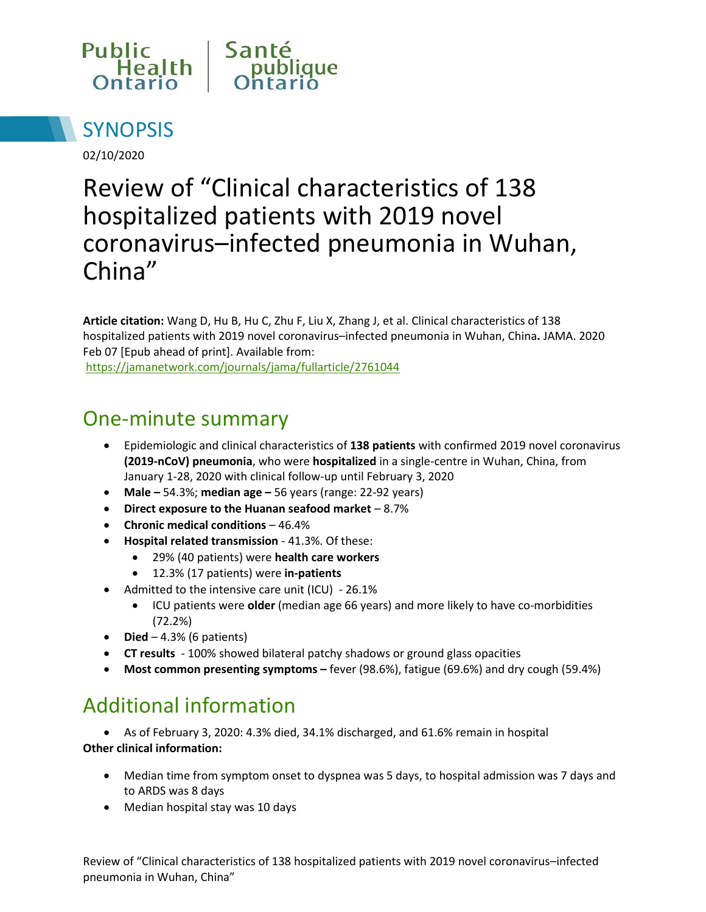



02/10/2020

# Review of "Clinical characteristics of 138 hospitalized patients with 2019 novel coronavirus–infected pneumonia in Wuhan, China"

**Article citation:** Wang D, Hu B, Hu C, Zhu F, Liu X, Zhang J, et al. Clinical characteristics of 138 hospitalized patients with 2019 novel coronavirus–infected pneumonia in Wuhan, China**.** JAMA. 2020 Feb 07 [Epub ahead of print]. Available from: <https://jamanetwork.com/journals/jama/fullarticle/2761044>

#### One-minute summary

- Epidemiologic and clinical characteristics of **138 patients** with confirmed 2019 novel coronavirus **(2019-nCoV) pneumonia**, who were **hospitalized** in a single-centre in Wuhan, China, from January 1-28, 2020 with clinical follow-up until February 3, 2020
- **Male –** 54.3%; **median age –** 56 years (range: 22-92 years)
- **Direct exposure to the Huanan seafood market**  8.7%
- **•** Chronic medical conditions 46.4%
- **Hospital related transmission** 41.3%. Of these:
	- 29% (40 patients) were **health care workers**
	- 12.3% (17 patients) were **in-patients**
- Admitted to the intensive care unit (ICU) 26.1%
	- ICU patients were **older** (median age 66 years) and more likely to have co-morbidities (72.2%)
- **•** Died  $-4.3%$  (6 patients)
- **CT results**  100% showed bilateral patchy shadows or ground glass opacities
- **Most common presenting symptoms –** fever (98.6%), fatigue (69.6%) and dry cough (59.4%)

## Additional information

- As of February 3, 2020: 4.3% died, 34.1% discharged, and 61.6% remain in hospital **Other clinical information:**
	- Median time from symptom onset to dyspnea was 5 days, to hospital admission was 7 days and to ARDS was 8 days
	- Median hospital stay was 10 days

Review of "Clinical characteristics of 138 hospitalized patients with 2019 novel coronavirus–infected pneumonia in Wuhan, China"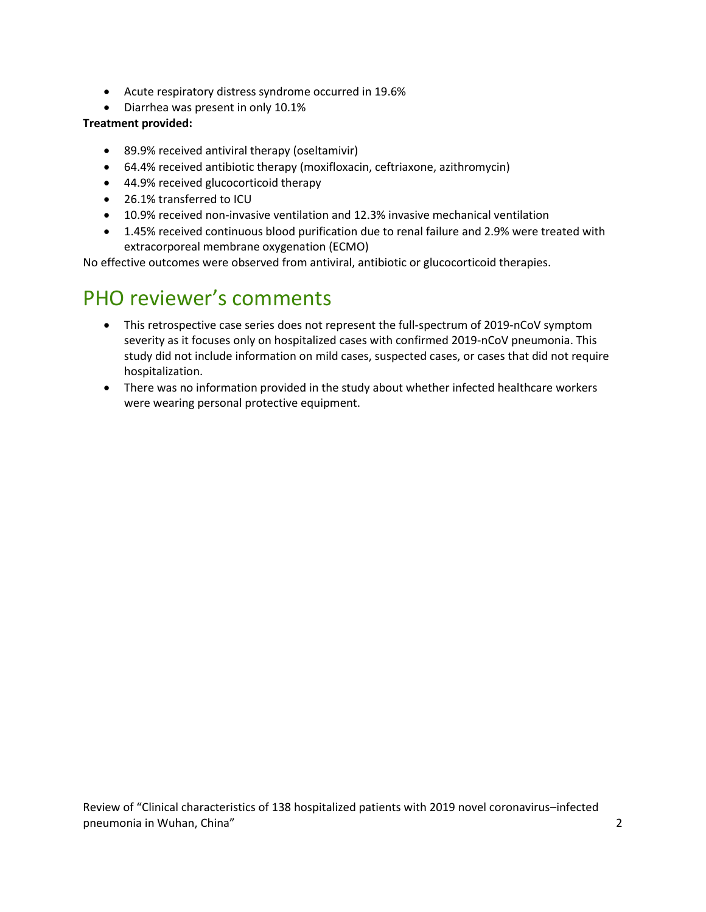- Acute respiratory distress syndrome occurred in 19.6%
- Diarrhea was present in only 10.1%

#### **Treatment provided:**

- 89.9% received antiviral therapy (oseltamivir)
- 64.4% received antibiotic therapy (moxifloxacin, ceftriaxone, azithromycin)
- 44.9% received glucocorticoid therapy
- 26.1% transferred to ICU
- 10.9% received non-invasive ventilation and 12.3% invasive mechanical ventilation
- 1.45% received continuous blood purification due to renal failure and 2.9% were treated with extracorporeal membrane oxygenation (ECMO)

No effective outcomes were observed from antiviral, antibiotic or glucocorticoid therapies.

## PHO reviewer's comments

- This retrospective case series does not represent the full-spectrum of 2019-nCoV symptom severity as it focuses only on hospitalized cases with confirmed 2019-nCoV pneumonia. This study did not include information on mild cases, suspected cases, or cases that did not require hospitalization.
- There was no information provided in the study about whether infected healthcare workers were wearing personal protective equipment.